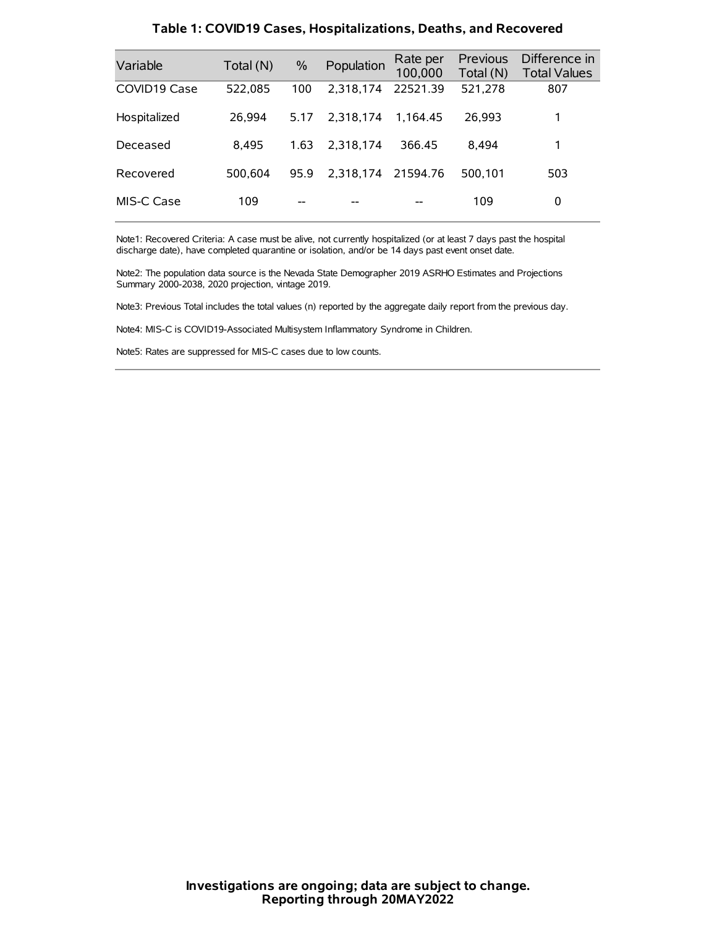| Variable     | Total (N) | $\%$ | Population | Rate per<br>100,000 | Previous<br>Total (N) | Difference in<br><b>Total Values</b> |
|--------------|-----------|------|------------|---------------------|-----------------------|--------------------------------------|
| COVID19 Case | 522,085   | 100  | 2.318.174  | 22521.39            | 521,278               | 807                                  |
| Hospitalized | 26.994    | 5.17 | 2.318.174  | 1.164.45            | 26.993                | 1                                    |
| Deceased     | 8.495     | 1.63 | 2.318.174  | 366.45              | 8.494                 | 1                                    |
| Recovered    | 500.604   | 95.9 | 2.318.174  | 21594.76            | 500.101               | 503                                  |
| MIS-C Case   | 109       | --   |            |                     | 109                   | 0                                    |

#### **Table 1: COVID19 Cases, Hospitalizations, Deaths, and Recovered**

Note1: Recovered Criteria: A case must be alive, not currently hospitalized (or at least 7 days past the hospital discharge date), have completed quarantine or isolation, and/or be 14 days past event onset date.

Note2: The population data source is the Nevada State Demographer 2019 ASRHO Estimates and Projections Summary 2000-2038, 2020 projection, vintage 2019.

Note3: Previous Total includes the total values (n) reported by the aggregate daily report from the previous day.

Note4: MIS-C is COVID19-Associated Multisystem Inflammatory Syndrome in Children.

Note5: Rates are suppressed for MIS-C cases due to low counts.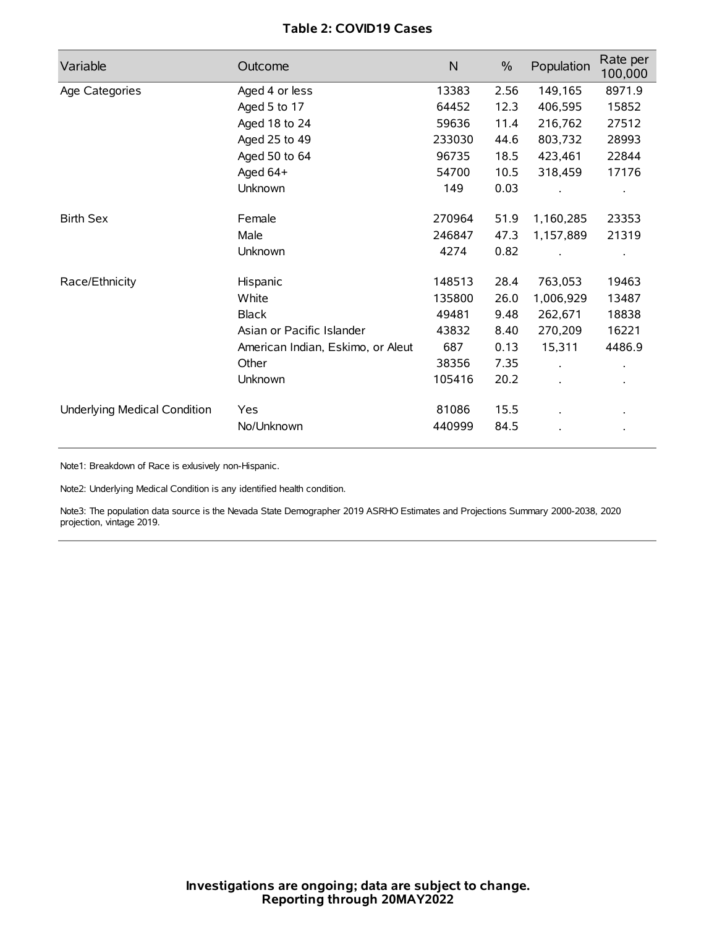# **Table 2: COVID19 Cases**

| Variable                     | Outcome                           | $\mathsf{N}$ | $\%$ | Population           | Rate per<br>100,000 |
|------------------------------|-----------------------------------|--------------|------|----------------------|---------------------|
| Age Categories               | Aged 4 or less                    | 13383        | 2.56 | 149,165              | 8971.9              |
|                              | Aged 5 to 17                      | 64452        | 12.3 | 406,595              | 15852               |
|                              | Aged 18 to 24                     | 59636        | 11.4 | 216,762              | 27512               |
|                              | Aged 25 to 49                     | 233030       | 44.6 | 803,732              | 28993               |
|                              | Aged 50 to 64                     | 96735        | 18.5 | 423,461              | 22844               |
|                              | Aged 64+                          | 54700        | 10.5 | 318,459              | 17176               |
|                              | Unknown                           | 149          | 0.03 |                      |                     |
| <b>Birth Sex</b>             | Female                            | 270964       | 51.9 | 1,160,285            | 23353               |
|                              | Male                              | 246847       | 47.3 | 1,157,889            | 21319               |
|                              | Unknown                           | 4274         | 0.82 |                      |                     |
| Race/Ethnicity               | Hispanic                          | 148513       | 28.4 | 763,053              | 19463               |
|                              | White                             | 135800       | 26.0 | 1,006,929            | 13487               |
|                              | <b>Black</b>                      | 49481        | 9.48 | 262,671              | 18838               |
|                              | Asian or Pacific Islander         | 43832        | 8.40 | 270,209              | 16221               |
|                              | American Indian, Eskimo, or Aleut | 687          | 0.13 | 15,311               | 4486.9              |
|                              | Other                             | 38356        | 7.35 | $\ddot{\phantom{0}}$ |                     |
|                              | <b>Unknown</b>                    | 105416       | 20.2 |                      |                     |
| Underlying Medical Condition | Yes                               | 81086        | 15.5 |                      |                     |
|                              | No/Unknown                        | 440999       | 84.5 |                      |                     |

Note1: Breakdown of Race is exlusively non-Hispanic.

Note2: Underlying Medical Condition is any identified health condition.

Note3: The population data source is the Nevada State Demographer 2019 ASRHO Estimates and Projections Summary 2000-2038, 2020 projection, vintage 2019.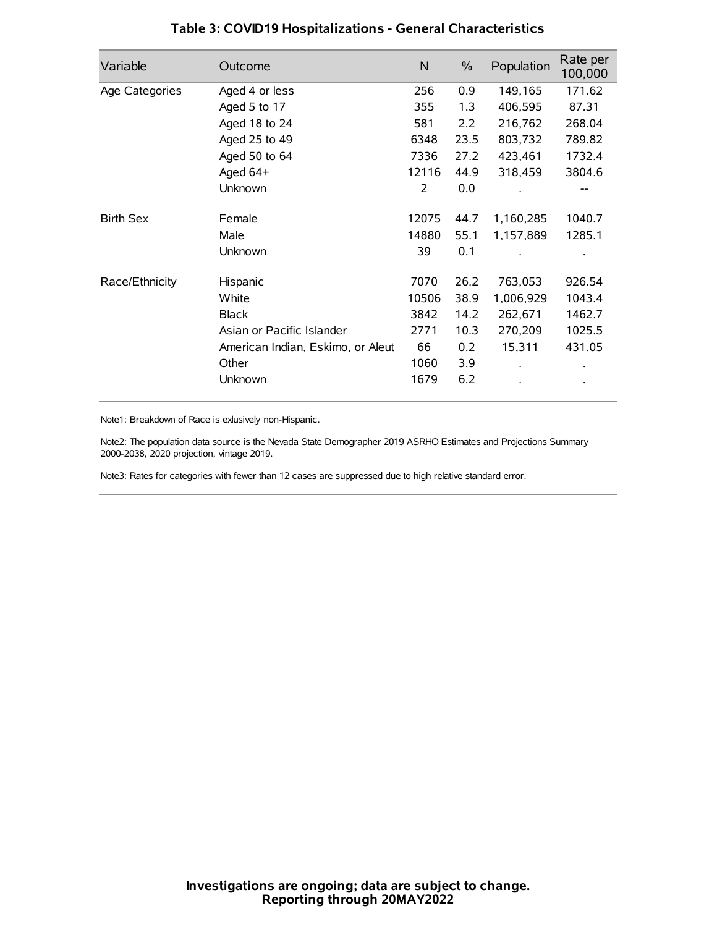| Variable         | Outcome                           | $\mathsf{N}$ | $\%$ | Population | Rate per<br>100,000 |
|------------------|-----------------------------------|--------------|------|------------|---------------------|
| Age Categories   | Aged 4 or less                    | 256          | 0.9  | 149,165    | 171.62              |
|                  | Aged 5 to 17                      | 355          | 1.3  | 406,595    | 87.31               |
|                  | Aged 18 to 24                     | 581          | 2.2  | 216,762    | 268.04              |
|                  | Aged 25 to 49                     | 6348         | 23.5 | 803,732    | 789.82              |
|                  | Aged 50 to 64                     | 7336         | 27.2 | 423,461    | 1732.4              |
|                  | Aged 64+                          | 12116        | 44.9 | 318,459    | 3804.6              |
|                  | Unknown                           | 2            | 0.0  |            |                     |
| <b>Birth Sex</b> | Female                            | 12075        | 44.7 | 1,160,285  | 1040.7              |
|                  | Male                              | 14880        | 55.1 | 1,157,889  | 1285.1              |
|                  | Unknown                           | 39           | 0.1  |            |                     |
| Race/Ethnicity   | Hispanic                          | 7070         | 26.2 | 763,053    | 926.54              |
|                  | White                             | 10506        | 38.9 | 1,006,929  | 1043.4              |
|                  | <b>Black</b>                      | 3842         | 14.2 | 262,671    | 1462.7              |
|                  | Asian or Pacific Islander         | 2771         | 10.3 | 270,209    | 1025.5              |
|                  | American Indian, Eskimo, or Aleut | 66           | 0.2  | 15,311     | 431.05              |
|                  | Other                             | 1060         | 3.9  |            |                     |
|                  | Unknown                           | 1679         | 6.2  |            |                     |

# **Table 3: COVID19 Hospitalizations - General Characteristics**

Note1: Breakdown of Race is exlusively non-Hispanic.

Note2: The population data source is the Nevada State Demographer 2019 ASRHO Estimates and Projections Summary 2000-2038, 2020 projection, vintage 2019.

Note3: Rates for categories with fewer than 12 cases are suppressed due to high relative standard error.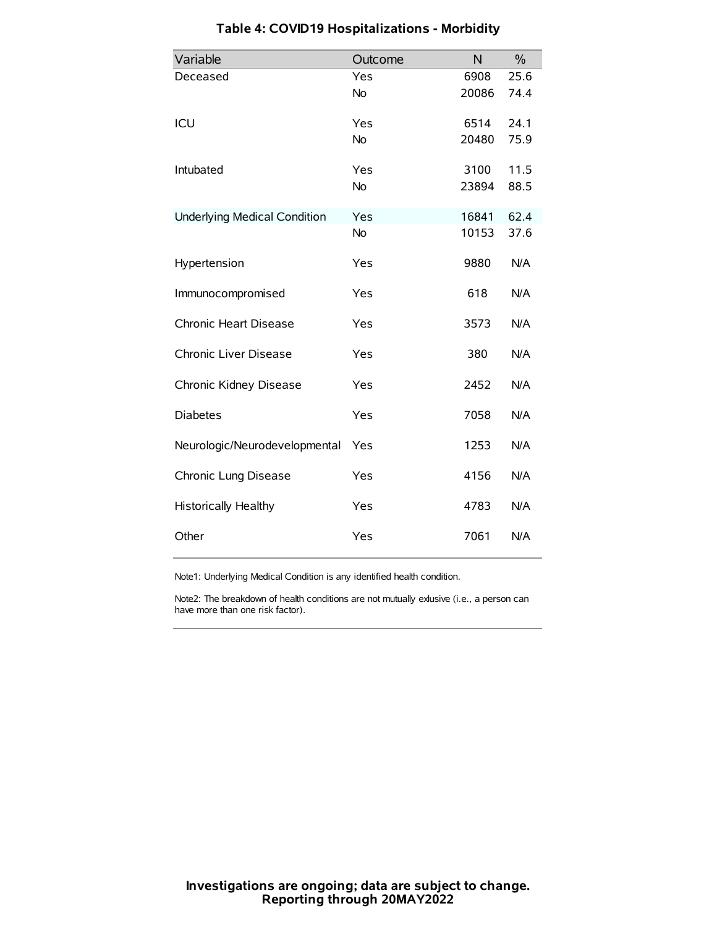| Variable                            | Outcome   | N     | $\frac{0}{0}$ |
|-------------------------------------|-----------|-------|---------------|
| Deceased                            | Yes       | 6908  | 25.6          |
|                                     | <b>No</b> | 20086 | 74.4          |
| ICU                                 | Yes       | 6514  | 24.1          |
|                                     | No        | 20480 | 75.9          |
| Intubated                           | Yes       | 3100  | 11.5          |
|                                     | <b>No</b> | 23894 | 88.5          |
| <b>Underlying Medical Condition</b> | Yes       | 16841 | 62.4          |
|                                     | No        | 10153 | 37.6          |
| Hypertension                        | Yes       | 9880  | N/A           |
| Immunocompromised                   | Yes       | 618   | N/A           |
| Chronic Heart Disease               | Yes       | 3573  | N/A           |
| Chronic Liver Disease               | Yes       | 380   | N/A           |
| Chronic Kidney Disease              | Yes       | 2452  | N/A           |
| <b>Diabetes</b>                     | Yes       | 7058  | N/A           |
| Neurologic/Neurodevelopmental       | Yes       | 1253  | N/A           |
| Chronic Lung Disease                | Yes       | 4156  | N/A           |
| <b>Historically Healthy</b>         | Yes       | 4783  | N/A           |
| Other                               | Yes       | 7061  | N/A           |

# **Table 4: COVID19 Hospitalizations - Morbidity**

Note1: Underlying Medical Condition is any identified health condition.

Note2: The breakdown of health conditions are not mutually exlusive (i.e., a person can have more than one risk factor).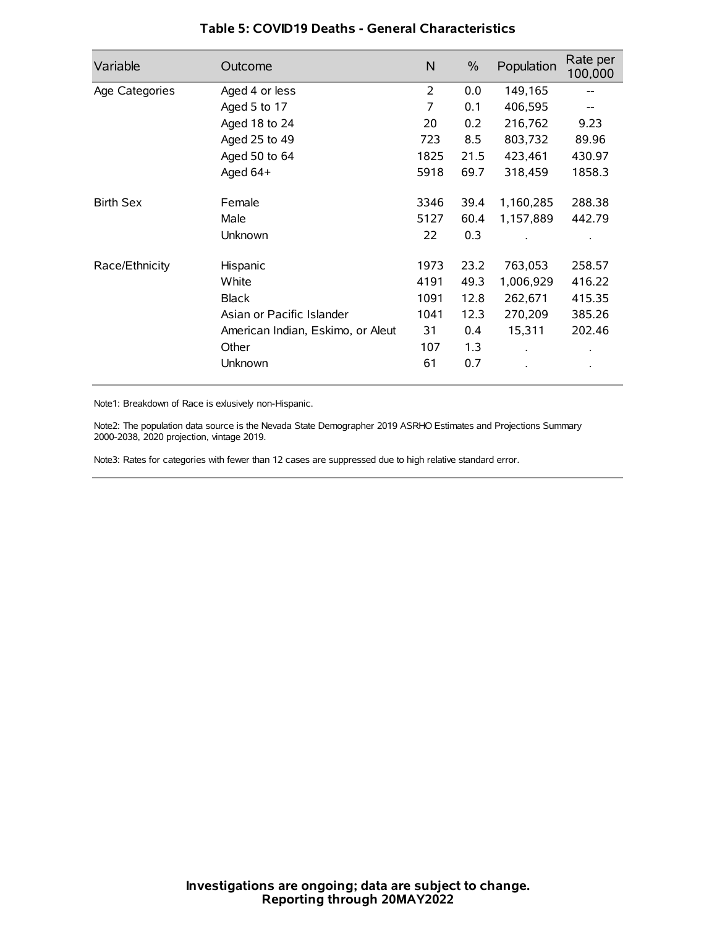| Variable         | Outcome                           | N    | $\%$ | Population           | Rate per<br>100,000 |
|------------------|-----------------------------------|------|------|----------------------|---------------------|
| Age Categories   | Aged 4 or less                    | 2    | 0.0  | 149,165              |                     |
|                  | Aged 5 to 17                      | 7    | 0.1  | 406,595              |                     |
|                  | Aged 18 to 24                     | 20   | 0.2  | 216,762              | 9.23                |
|                  | Aged 25 to 49                     | 723  | 8.5  | 803,732              | 89.96               |
|                  | Aged 50 to 64                     | 1825 | 21.5 | 423,461              | 430.97              |
|                  | Aged 64+                          | 5918 | 69.7 | 318,459              | 1858.3              |
| <b>Birth Sex</b> | Female                            | 3346 | 39.4 | 1,160,285            | 288.38              |
|                  | Male                              | 5127 | 60.4 | 1,157,889            | 442.79              |
|                  | Unknown                           | 22   | 0.3  |                      |                     |
| Race/Ethnicity   | Hispanic                          | 1973 | 23.2 | 763,053              | 258.57              |
|                  | White                             | 4191 | 49.3 | 1,006,929            | 416.22              |
|                  | <b>Black</b>                      | 1091 | 12.8 | 262,671              | 415.35              |
|                  | Asian or Pacific Islander         | 1041 | 12.3 | 270,209              | 385.26              |
|                  | American Indian, Eskimo, or Aleut | 31   | 0.4  | 15,311               | 202.46              |
|                  | Other                             | 107  | 1.3  | $\ddot{\phantom{0}}$ | $\bullet$           |
|                  | Unknown                           | 61   | 0.7  |                      | $\bullet$           |

## **Table 5: COVID19 Deaths - General Characteristics**

Note1: Breakdown of Race is exlusively non-Hispanic.

Note2: The population data source is the Nevada State Demographer 2019 ASRHO Estimates and Projections Summary 2000-2038, 2020 projection, vintage 2019.

Note3: Rates for categories with fewer than 12 cases are suppressed due to high relative standard error.